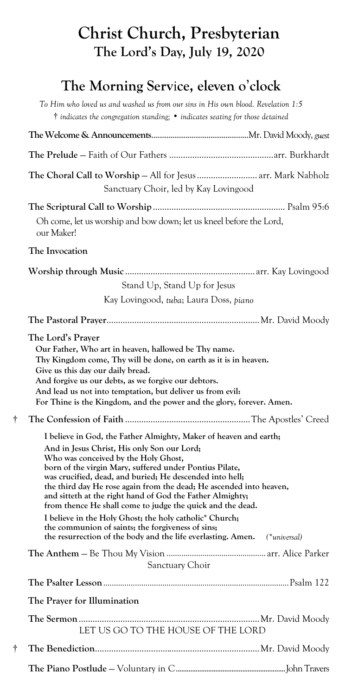## **Christ Church, Presbyterian The Lord's Day, July 19, 2020**

## **The Morning Serv**i**ce, eleven o**'**clock**

|   | To Him who loved us and washed us from our sins in His own blood. Revelation 1:5<br>$\dagger$ indicates the congregation standing; $\bullet$ indicates seating for those detained                                                                                                                                                                                                                                                                                                                                     |
|---|-----------------------------------------------------------------------------------------------------------------------------------------------------------------------------------------------------------------------------------------------------------------------------------------------------------------------------------------------------------------------------------------------------------------------------------------------------------------------------------------------------------------------|
|   |                                                                                                                                                                                                                                                                                                                                                                                                                                                                                                                       |
|   |                                                                                                                                                                                                                                                                                                                                                                                                                                                                                                                       |
|   | The Choral Call to Worship – All for Jesus  arr. Mark Nabholz<br>Sanctuary Choir, led by Kay Lovingood                                                                                                                                                                                                                                                                                                                                                                                                                |
|   | Oh come, let us worship and bow down; let us kneel before the Lord,<br>our Maker!                                                                                                                                                                                                                                                                                                                                                                                                                                     |
|   | The Invocation                                                                                                                                                                                                                                                                                                                                                                                                                                                                                                        |
|   | Stand Up, Stand Up for Jesus<br>Kay Lovingood, tuba; Laura Doss, piano                                                                                                                                                                                                                                                                                                                                                                                                                                                |
|   |                                                                                                                                                                                                                                                                                                                                                                                                                                                                                                                       |
|   | Our Father, Who art in heaven, hallowed be Thy name.<br>Thy Kingdom come, Thy will be done, on earth as it is in heaven.<br>Give us this day our daily bread.<br>And forgive us our debts, as we forgive our debtors.<br>And lead us not into temptation, but deliver us from evil:<br>For Thine is the Kingdom, and the power and the glory, forever. Amen.                                                                                                                                                          |
| t |                                                                                                                                                                                                                                                                                                                                                                                                                                                                                                                       |
|   | I believe in God, the Father Almighty, Maker of heaven and earth;<br>And in Jesus Christ, His only Son our Lord;<br>Who was conceived by the Holy Ghost,                                                                                                                                                                                                                                                                                                                                                              |
|   | born of the virgin Mary, suffered under Pontius Pilate,<br>was crucified, dead, and buried; He descended into hell;<br>the third day He rose again from the dead; He ascended into heaven,<br>and sitteth at the right hand of God the Father Almighty;<br>from thence He shall come to judge the quick and the dead.<br>I believe in the Holy Ghost; the holy catholic* Church;<br>the communion of saints; the forgiveness of sins;<br>the resurrection of the body and the life everlasting. Amen.<br>(*universal) |
|   |                                                                                                                                                                                                                                                                                                                                                                                                                                                                                                                       |
|   | Sanctuary Choir                                                                                                                                                                                                                                                                                                                                                                                                                                                                                                       |
|   |                                                                                                                                                                                                                                                                                                                                                                                                                                                                                                                       |
|   | The Prayer for Illumination                                                                                                                                                                                                                                                                                                                                                                                                                                                                                           |
|   | LET US GO TO THE HOUSE OF THE LORD                                                                                                                                                                                                                                                                                                                                                                                                                                                                                    |
| t |                                                                                                                                                                                                                                                                                                                                                                                                                                                                                                                       |